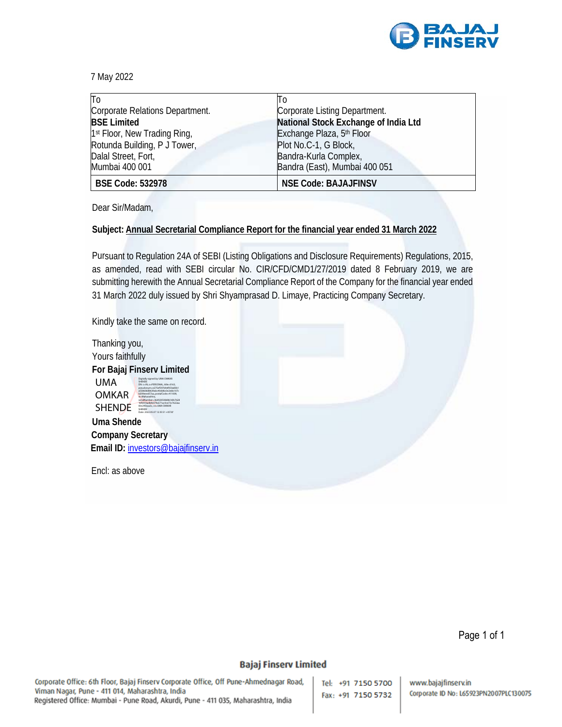

7 May 2022

| To                                       | Tо                                   |
|------------------------------------------|--------------------------------------|
| Corporate Relations Department.          | Corporate Listing Department.        |
| <b>BSE Limited</b>                       | National Stock Exchange of India Ltd |
| 1 <sup>st</sup> Floor, New Trading Ring, | Exchange Plaza, 5th Floor            |
| Rotunda Building, P J Tower,             | Plot No.C-1, G Block,                |
| Dalal Street, Fort,                      | Bandra-Kurla Complex,                |
| Mumbai 400 001                           | Bandra (East), Mumbai 400 051        |
| <b>BSE Code: 532978</b>                  | <b>NSE Code: BAJAJFINSV</b>          |

Dear Sir/Madam,

## **Subject: Annual Secretarial Compliance Report for the financial year ended 31 March 2022**

Pursuant to Regulation 24A of SEBI (Listing Obligations and Disclosure Requirements) Regulations, 2015, as amended, read with SEBI circular No. CIR/CFD/CMD1/27/2019 dated 8 February 2019, we are submitting herewith the Annual Secretarial Compliance Report of the Company for the financial year ended 31 March 2022 duly issued by Shri Shyamprasad D. Limaye, Practicing Company Secretary.

Kindly take the same on record.

| Thanking you,             |                                                                                                                                                                                                                                                    |  |
|---------------------------|----------------------------------------------------------------------------------------------------------------------------------------------------------------------------------------------------------------------------------------------------|--|
| Yours faithfully          |                                                                                                                                                                                                                                                    |  |
| For Bajaj Finserv Limited |                                                                                                                                                                                                                                                    |  |
| UMA                       | Digitally signed by UMA OMKAR<br><b>SHENITIE</b><br>DN: c=IN. o=PERSONAL. title=0163.<br>pseudonym-e275ef597b9ef050a83b1                                                                                                                           |  |
| <b>OMKAR</b>              | a55860b88639abc40dd6e3e2ebb107c<br>b209eeed57aa, postalCode=411009,<br>d=Maharachtra<br>serialNumber=36d920508d8616fe7628<br>16fb91ba0bfe079a571ac0ce73c7622aa<br>00e240caa3c.cn-UMA OMKAR<br><b>SHENITIE</b><br>Date: 2022.05.07 12:35:51 +05'30" |  |
| <b>SHENDE</b>             |                                                                                                                                                                                                                                                    |  |
| <b>Uma Shende</b>         |                                                                                                                                                                                                                                                    |  |
| <b>Company Secretary</b>  |                                                                                                                                                                                                                                                    |  |

**Email ID:** investors@bajajfinserv.in

Encl: as above

Page 1 of 1

## **Bajaj Finserv Limited**

Corporate Office: 6th Floor, Bajaj Finserv Corporate Office, Off Pune-Ahmednagar Road, Viman Nagar, Pune - 411 014, Maharashtra, India Registered Office: Mumbai - Pune Road, Akurdi, Pune - 411 035, Maharashtra, India

Tel: +91 7150 5700 Fax: +91 7150 5732

www.bajajfinserv.in Corporate ID No: L65923PN2007PLC130075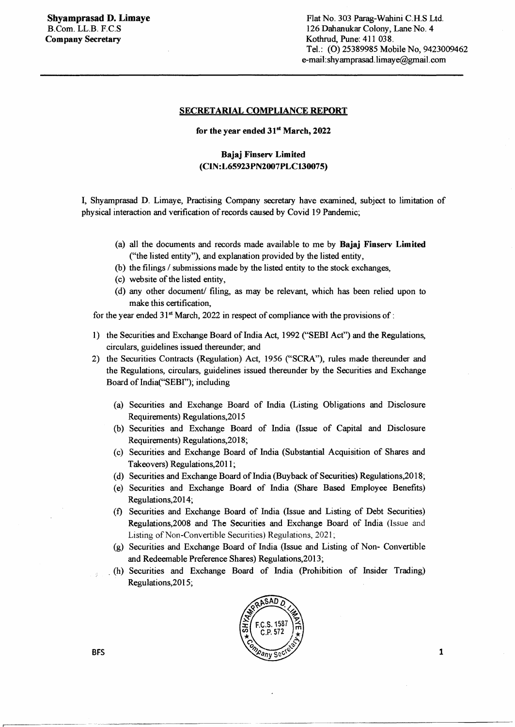## SECRETARIAL COMPLIANCE REPORT

for the year ended 31<sup>st</sup> March, 2022

## Bajaj Finserv Limited (CIN:L65923PN2007PLC130075)

I, Shyamprasad D. Limaye, Practising Company secretary have examined, subject to limitation of physical interaction and verification of records caused by Covid 19 Pandemic;

- (a) all the documents and records made available to me by Bajaj Finserv Limited ("the listed entity"), and explanation provided by the listed entity,
- (b) the filings / submissions made by the listed entity to the stock exchanges,
- (c) website of the listed entity,
- ( d) any other document/ filing, as may be relevant, which has been relied upon to make this certification,

for the year ended  $31<sup>st</sup>$  March, 2022 in respect of compliance with the provisions of :

- 1) the Securities and Exchange Board of India Act, 1992 ("SEBI Act") and the Regulations, circulars, guidelines issued thereunder; and
- 2) the Securities Contracts (Regulation) Act, 1956 ("SCRA"), rules made thereunder and the Regulations, circulars, guidelines issued thereunder by the Securities and Exchange Board of lndia("SEBf'); including
	- (a) Securities and Exchange Board of India (Listing Obligations and Disclosure Requirements) Regulations,2015
	- (b) Securities and Exchange Board of India (Issue of Capital and Disclosure Requirements) Regulations,2018;
	- (c) Securities and Exchange Board of India (Substantial Acquisition of Shares and Takeovers) Regulations,2011;
	- (d) Securities and Exchange Board of India (Buyback of Securities) Regulations,2018;
	- (e) Securities and Exchange Board of India (Share Based Employee Benefits) Regulations,2014;
	- (f) Securities and Exchange Board of India (Issue and Listing of Debt Securities) Regulations,2008 and The Securities and Exchange Board of India (Issue and Listing of Non-Convertible Securities) Regulations, 2021;
	- (g) Securities and Exchange Board of India (Issue and Listing of Non- Convertible and Redeemable Preference Shares) Regulations,2013;
	- . (h) Securities and Exchange Board of India (Prohibition of Insider Trading) Regulations,2015;